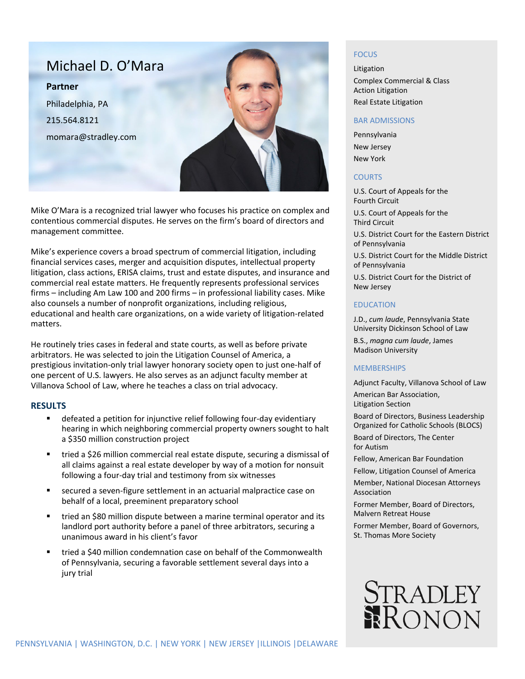

Mike O'Mara is a recognized trial lawyer who focuses his practice on complex and contentious commercial disputes. He serves on the firm's board of directors and management committee.

Mike's experience covers a broad spectrum of commercial litigation, including financial services cases, merger and acquisition disputes, intellectual property litigation, class actions, ERISA claims, trust and estate disputes, and insurance and commercial real estate matters. He frequently represents professional services firms – including Am Law 100 and 200 firms – in professional liability cases. Mike also counsels a number of nonprofit organizations, including religious, educational and health care organizations, on a wide variety of litigation-related matters.

He routinely tries cases in federal and state courts, as well as before private arbitrators. He was selected to join the Litigation Counsel of America, a prestigious invitation-only trial lawyer honorary society open to just one-half of one percent of U.S. lawyers. He also serves as an adjunct faculty member at Villanova School of Law, where he teaches a class on trial advocacy.

## **RESULTS**

- defeated a petition for injunctive relief following four-day evidentiary hearing in which neighboring commercial property owners sought to halt a \$350 million construction project
- tried a \$26 million commercial real estate dispute, securing a dismissal of all claims against a real estate developer by way of a motion for nonsuit following a four-day trial and testimony from six witnesses
- secured a seven-figure settlement in an actuarial malpractice case on behalf of a local, preeminent preparatory school
- tried an \$80 million dispute between a marine terminal operator and its landlord port authority before a panel of three arbitrators, securing a unanimous award in his client's favor
- tried a \$40 million condemnation case on behalf of the Commonwealth of Pennsylvania, securing a favorable settlement several days into a jury trial

## **FOCUS**

Litigation Complex Commercial & Class Action Litigation Real Estate Litigation

#### BAR ADMISSIONS

Pennsylvania New Jersey New York

### **COURTS**

U.S. Court of Appeals for the Fourth Circuit U.S. Court of Appeals for the Third Circuit U.S. District Court for the Eastern District

of Pennsylvania U.S. District Court for the Middle District of Pennsylvania

U.S. District Court for the District of New Jersey

### EDUCATION

J.D., *cum laude*, Pennsylvania State University Dickinson School of Law

B.S., *magna cum laude*, James Madison University

#### MEMBERSHIPS

Adjunct Faculty, Villanova School of Law

American Bar Association, Litigation Section

Board of Directors, Business Leadership Organized for Catholic Schools (BLOCS)

Board of Directors, The Center for Autism

Fellow, American Bar Foundation

Fellow, Litigation Counsel of America

Member, National Diocesan Attorneys Association

Former Member, Board of Directors, Malvern Retreat House

Former Member, Board of Governors, St. Thomas More Society

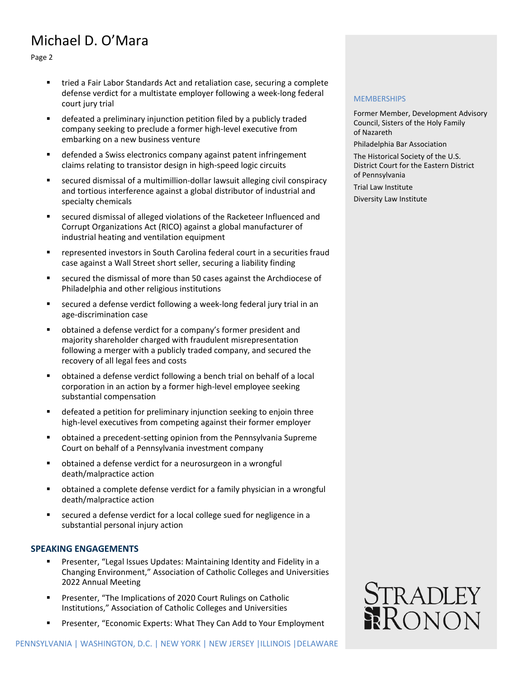# Michael D. O'Mara

Page 2

- tried a Fair Labor Standards Act and retaliation case, securing a complete defense verdict for a multistate employer following a week-long federal court jury trial
- defeated a preliminary injunction petition filed by a publicly traded company seeking to preclude a former high-level executive from embarking on a new business venture
- defended a Swiss electronics company against patent infringement claims relating to transistor design in high-speed logic circuits
- secured dismissal of a multimillion-dollar lawsuit alleging civil conspiracy and tortious interference against a global distributor of industrial and specialty chemicals
- secured dismissal of alleged violations of the Racketeer Influenced and Corrupt Organizations Act (RICO) against a global manufacturer of industrial heating and ventilation equipment
- represented investors in South Carolina federal court in a securities fraud case against a Wall Street short seller, securing a liability finding
- secured the dismissal of more than 50 cases against the Archdiocese of Philadelphia and other religious institutions
- secured a defense verdict following a week-long federal jury trial in an age-discrimination case
- obtained a defense verdict for a company's former president and majority shareholder charged with fraudulent misrepresentation following a merger with a publicly traded company, and secured the recovery of all legal fees and costs
- obtained a defense verdict following a bench trial on behalf of a local corporation in an action by a former high-level employee seeking substantial compensation
- defeated a petition for preliminary injunction seeking to enjoin three high-level executives from competing against their former employer
- obtained a precedent-setting opinion from the Pennsylvania Supreme Court on behalf of a Pennsylvania investment company
- obtained a defense verdict for a neurosurgeon in a wrongful death/malpractice action
- obtained a complete defense verdict for a family physician in a wrongful death/malpractice action
- secured a defense verdict for a local college sued for negligence in a substantial personal injury action

## **SPEAKING ENGAGEMENTS**

- Presenter, "Legal Issues Updates: Maintaining Identity and Fidelity in a Changing Environment," Association of Catholic Colleges and Universities 2022 Annual Meeting
- Presenter, "The Implications of 2020 Court Rulings on Catholic Institutions," Association of Catholic Colleges and Universities
- Presenter, "Economic Experts: What They Can Add to Your Employment

### **MEMBERSHIPS**

Former Member, Development Advisory Council, Sisters of the Holy Family of Nazareth

Philadelphia Bar Association

The Historical Society of the U.S. District Court for the Eastern District of Pennsylvania

Trial Law Institute

Diversity Law Institute